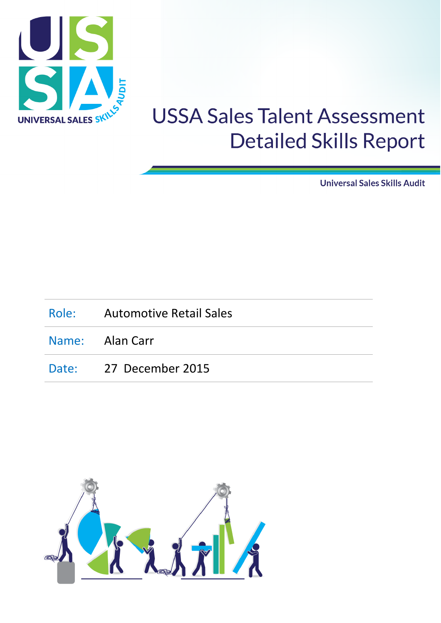

**Universal Sales Skills Audit** 

| Role: Automotive Retail Sales |
|-------------------------------|
| Name: Alan Carr               |
| Date: 27 December 2015        |

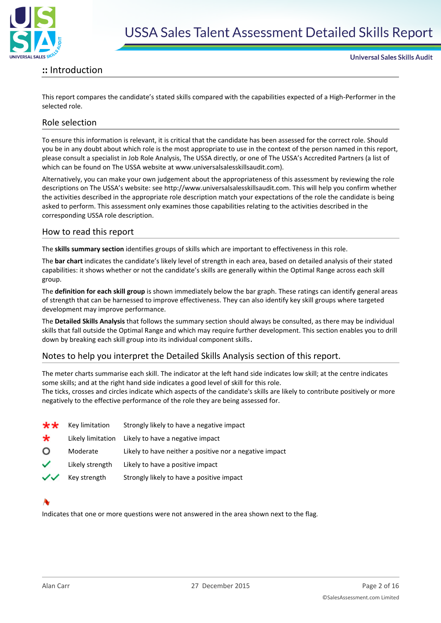

#### **::** Introduction

**Universal Sales Skills Audit** 

This report compares the candidate's stated skills compared with the capabilities expected of a High-Performer in the selected role.

#### Role selection

To ensure this information is relevant, it is critical that the candidate has been assessed for the correct role. Should you be in any doubt about which role is the most appropriate to use in the context of the person named in this report, please consult a specialist in Job Role Analysis, The USSA directly, or one of The USSA's Accredited Partners (a list of which can be found on The USSA website at www.universalsalesskillsaudit.com).

Alternatively, you can make your own judgement about the appropriateness of this assessment by reviewing the role descriptions on The USSA's website: see http://www.universalsalesskillsaudit.com. This will help you confirm whether the activities described in the appropriate role description match your expectations of the role the candidate is being asked to perform. This assessment only examines those capabilities relating to the activities described in the corresponding USSA role description.

#### How to read this report

The **skills summary section** identifies groups of skills which are important to effectiveness in this role.

The **bar chart** indicates the candidate's likely level of strength in each area, based on detailed analysis of their stated capabilities: it shows whether or not the candidate's skills are generally within the Optimal Range across each skill group.

The **definition for each skill group** is shown immediately below the bar graph. These ratings can identify general areas of strength that can be harnessed to improve effectiveness. They can also identify key skill groups where targeted development may improve performance.

The **Detailed Skills Analysis** that follows the summary section should always be consulted, as there may be individual skills that fall outside the Optimal Range and which may require further development. This section enables you to drill down by breaking each skill group into its individual component skills.

#### Notes to help you interpret the Detailed Skills Analysis section of this report.

The meter charts summarise each skill. The indicator at the left hand side indicates low skill; at the centre indicates some skills; and at the right hand side indicates a good level of skill for this role.

The ticks, crosses and circles indicate which aspects of the candidate's skills are likely to contribute positively or more negatively to the effective performance of the role they are being assessed for.

| **           | Key limitation    | Strongly likely to have a negative impact               |
|--------------|-------------------|---------------------------------------------------------|
| *            | Likely limitation | Likely to have a negative impact                        |
| O            | Moderate          | Likely to have neither a positive nor a negative impact |
| ✓            | Likely strength   | Likely to have a positive impact                        |
| $\checkmark$ | Key strength      | Strongly likely to have a positive impact               |

Indicates that one or more questions were not answered in the area shown next to the flag.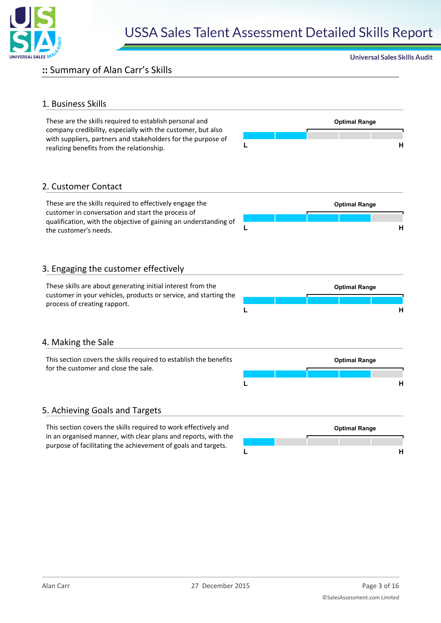

#### **::** Summary of Alan Carr's Skills

#### 1. Business Skills

These are the skills required to establish personal and **Optimal Range** company credibility, especially with the customer, but also with suppliers, partners and stakeholders for the purpose of realizing benefits from the relationship. **<sup>L</sup> <sup>H</sup>**



**Universal Sales Skills Audit** 

#### 2. Customer Contact

These are the skills required to effectively engage the **Optimal Range** customer in conversation and start the process of qualification, with the objective of gaining an understanding of the customer's needs. **<sup>L</sup> <sup>H</sup>**

#### 3. Engaging the customer effectively



#### 4. Making the Sale

| This section covers the skills required to establish the benefits | <b>Optimal Range</b> |  |  |  |
|-------------------------------------------------------------------|----------------------|--|--|--|
| for the customer and close the sale.                              |                      |  |  |  |
|                                                                   |                      |  |  |  |

#### 5. Achieving Goals and Targets

This section covers the skills required to work effectively and **Optimal Range** in an organised manner, with clear plans and reports, with the purpose of facilitating the achievement of goals and targets.

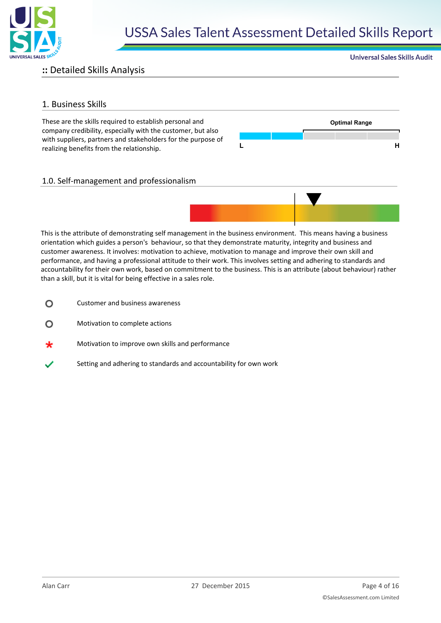

### **::** Detailed Skills Analysis

#### 1. Business Skills

These are the skills required to establish personal and **Optimal Range** company credibility, especially with the customer, but also with suppliers, partners and stakeholders for the purpose of realizing benefits from the relationship. **<sup>L</sup> <sup>H</sup>**



**Universal Sales Skills Audit** 

#### 1.0. Self-management and professionalism



This is the attribute of demonstrating self management in the business environment. This means having a business orientation which guides a person's behaviour, so that they demonstrate maturity, integrity and business and customer awareness. It involves: motivation to achieve, motivation to manage and improve their own skill and performance, and having a professional attitude to their work. This involves setting and adhering to standards and accountability for their own work, based on commitment to the business. This is an attribute (about behaviour) rather than a skill, but it is vital for being effective in a sales role.

- Customer and business awareness O
- Motivation to complete actions  $\Omega$
- Motivation to improve own skills and performance
- Setting and adhering to standards and accountability for own work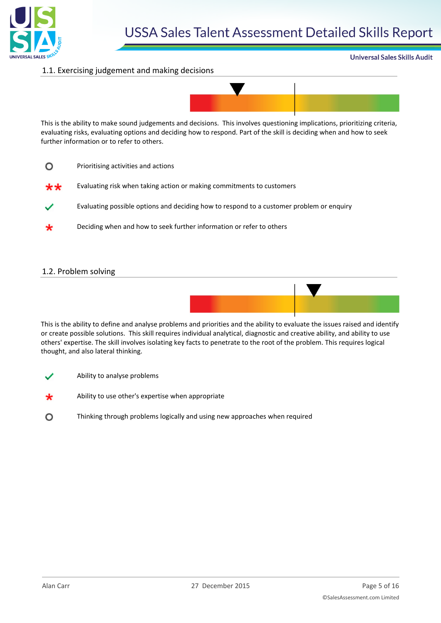

#### **Universal Sales Skills Audit**

#### 1.1. Exercising judgement and making decisions



This is the ability to make sound judgements and decisions. This involves questioning implications, prioritizing criteria, evaluating risks, evaluating options and deciding how to respond. Part of the skill is deciding when and how to seek further information or to refer to others.

- $\Omega$ Prioritising activities and actions
- Evaluating risk when taking action or making commitments to customers \*\*
- Evaluating possible options and deciding how to respond to a customer problem or enquiry
- Deciding when and how to seek further information or refer to others

#### 1.2. Problem solving



This is the ability to define and analyse problems and priorities and the ability to evaluate the issues raised and identify or create possible solutions. This skill requires individual analytical, diagnostic and creative ability, and ability to use others' expertise. The skill involves isolating key facts to penetrate to the root of the problem. This requires logical thought, and also lateral thinking.

- Ability to analyse problems
- Ability to use other's expertise when appropriate
- $\circ$ Thinking through problems logically and using new approaches when required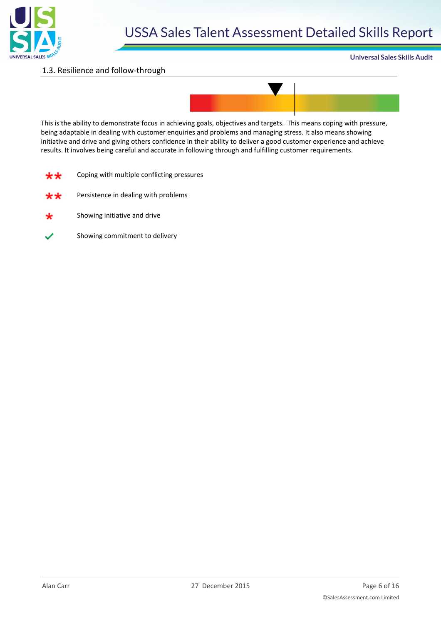

#### 1.3. Resilience and follow-through

#### **Universal Sales Skills Audit**



This is the ability to demonstrate focus in achieving goals, objectives and targets. This means coping with pressure, being adaptable in dealing with customer enquiries and problems and managing stress. It also means showing initiative and drive and giving others confidence in their ability to deliver a good customer experience and achieve results. It involves being careful and accurate in following through and fulfilling customer requirements.

| ** | Coping with multiple conflicting pressures |  |  |  |
|----|--------------------------------------------|--|--|--|
|----|--------------------------------------------|--|--|--|

- Persistence in dealing with problems ₩₩
- Showing initiative and drive
- Showing commitment to delivery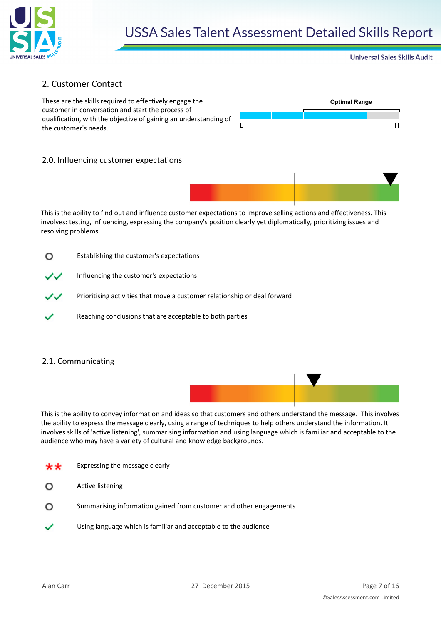

#### **Universal Sales Skills Audit**

#### 2. Customer Contact

These are the skills required to effectively engage the **Optimal Range** customer in conversation and start the process of qualification, with the objective of gaining an understanding of the customer's needs. **<sup>L</sup> <sup>H</sup>**



#### 2.0. Influencing customer expectations



This is the ability to find out and influence customer expectations to improve selling actions and effectiveness. This involves: testing, influencing, expressing the company's position clearly yet diplomatically, prioritizing issues and resolving problems.

| O  | Establishing the customer's expectations                                  |
|----|---------------------------------------------------------------------------|
| ンン | Influencing the customer's expectations                                   |
| ンン | Prioritising activities that move a customer relationship or deal forward |
|    | Reaching conclusions that are acceptable to both parties                  |

#### 2.1. Communicating



This is the ability to convey information and ideas so that customers and others understand the message. This involves the ability to express the message clearly, using a range of techniques to help others understand the information. It involves skills of 'active listening', summarising information and using language which is familiar and acceptable to the audience who may have a variety of cultural and knowledge backgrounds.

Expressing the message clearly

Active listening ∩

- $\Omega$ Summarising information gained from customer and other engagements
- Using language which is familiar and acceptable to the audience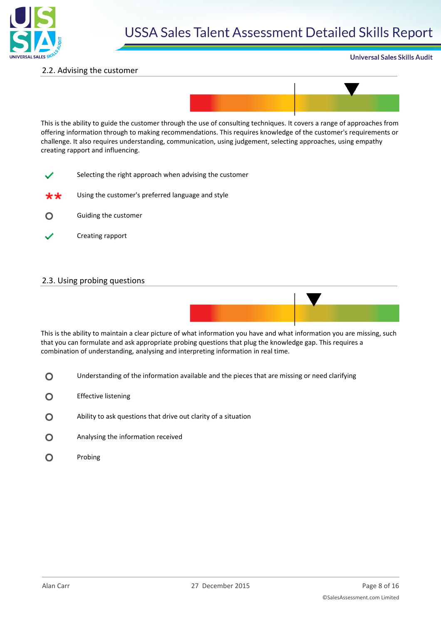

#### **Universal Sales Skills Audit**

#### 2.2. Advising the customer



This is the ability to guide the customer through the use of consulting techniques. It covers a range of approaches from offering information through to making recommendations. This requires knowledge of the customer's requirements or challenge. It also requires understanding, communication, using judgement, selecting approaches, using empathy creating rapport and influencing.

- Selecting the right approach when advising the customer
- Using the customer's preferred language and style
- Guiding the customer  $\circ$
- Creating rapport

#### 2.3. Using probing questions



This is the ability to maintain a clear picture of what information you have and what information you are missing, such that you can formulate and ask appropriate probing questions that plug the knowledge gap. This requires a combination of understanding, analysing and interpreting information in real time.

- $\circ$ Understanding of the information available and the pieces that are missing or need clarifying
- $\Omega$ Effective listening
- $\circ$ Ability to ask questions that drive out clarity of a situation
- $\circ$ Analysing the information received
- O Probing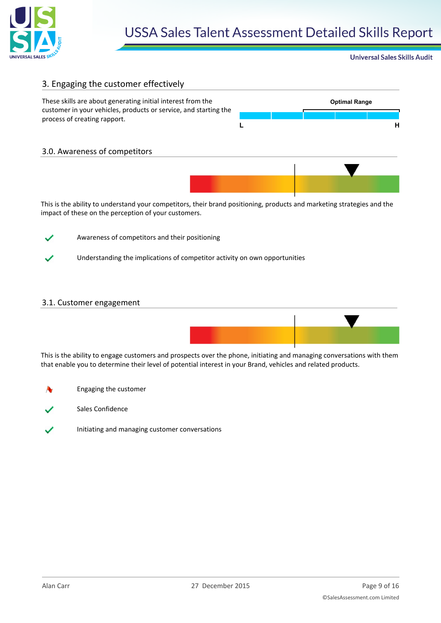

**Universal Sales Skills Audit** 

#### 3. Engaging the customer effectively

3.0. Awareness of competitors

These skills are about generating initial interest from the **Optimal Range** customer in your vehicles, products or service, and starting the process of creating rapport.



This is the ability to understand your competitors, their brand positioning, products and marketing strategies and the impact of these on the perception of your customers.



Awareness of competitors and their positioning

Understanding the implications of competitor activity on own opportunities

#### 3.1. Customer engagement



This is the ability to engage customers and prospects over the phone, initiating and managing conversations with them that enable you to determine their level of potential interest in your Brand, vehicles and related products.

- Engaging the customer
- Sales Confidence
- Initiating and managing customer conversations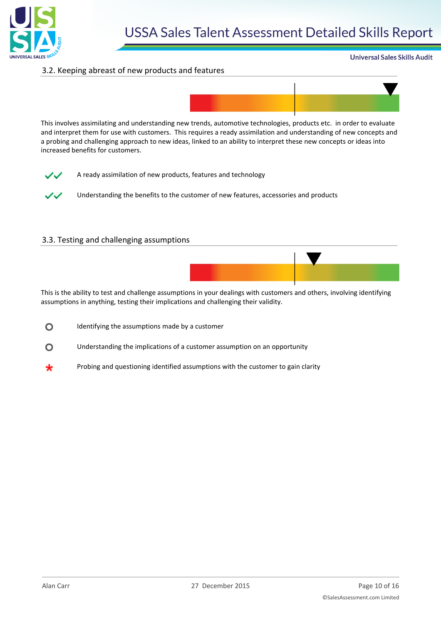

#### **Universal Sales Skills Audit**

#### 3.2. Keeping abreast of new products and features



This involves assimilating and understanding new trends, automotive technologies, products etc. in order to evaluate and interpret them for use with customers. This requires a ready assimilation and understanding of new concepts and a probing and challenging approach to new ideas, linked to an ability to interpret these new concepts or ideas into increased benefits for customers.



A ready assimilation of new products, features and technology

Understanding the benefits to the customer of new features, accessories and products

#### 3.3. Testing and challenging assumptions



This is the ability to test and challenge assumptions in your dealings with customers and others, involving identifying assumptions in anything, testing their implications and challenging their validity.

- Identifying the assumptions made by a customer  $\circ$
- $\Omega$ Understanding the implications of a customer assumption on an opportunity
- Probing and questioning identified assumptions with the customer to gain clarity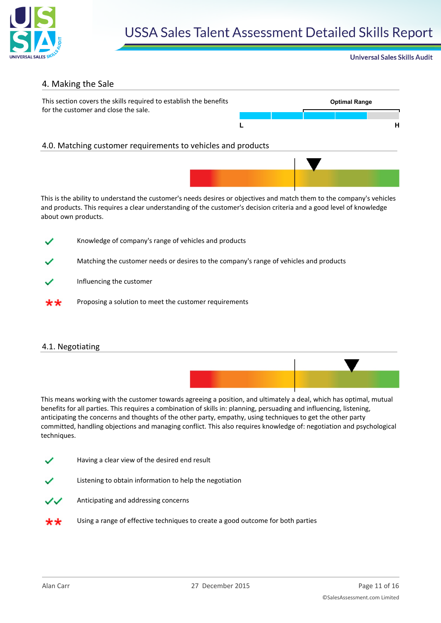

#### **Universal Sales Skills Audit**

#### 4. Making the Sale



- Influencing the customer
- Proposing a solution to meet the customer requirements

#### 4.1. Negotiating

This means working with the customer towards agreeing a position, and ultimately a deal, which has optimal, mutual benefits for all parties. This requires a combination of skills in: planning, persuading and influencing, listening, anticipating the concerns and thoughts of the other party, empathy, using techniques to get the other party committed, handling objections and managing conflict. This also requires knowledge of: negotiation and psychological techniques.

- Having a clear view of the desired end result
- Listening to obtain information to help the negotiation
- Anticipating and addressing concerns
- Using a range of effective techniques to create a good outcome for both parties\*\*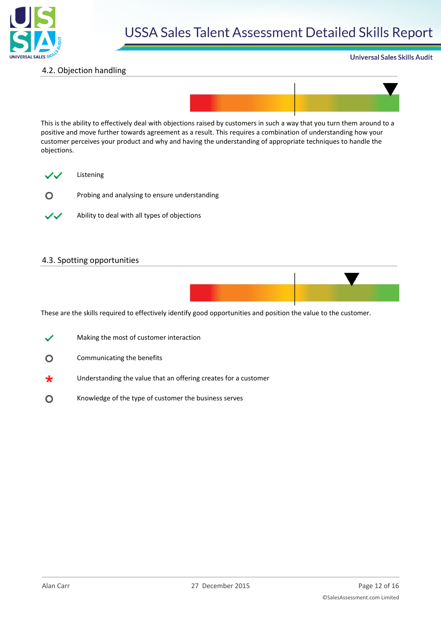

#### **Universal Sales Skills Audit**

#### 4.2. Objection handling



This is the ability to effectively deal with objections raised by customers in such a way that you turn them around to a positive and move further towards agreement as a result. This requires a combination of understanding how your customer perceives your product and why and having the understanding of appropriate techniques to handle the objections.



Probing and analysing to ensure understanding  $\circ$ 



Ability to deal with all types of objections

#### 4.3. Spotting opportunities



These are the skills required to effectively identify good opportunities and position the value to the customer.

- Making the most of customer interaction
- O Communicating the benefits
- Understanding the value that an offering creates for a customer
- Knowledge of the type of customer the business serves $\circ$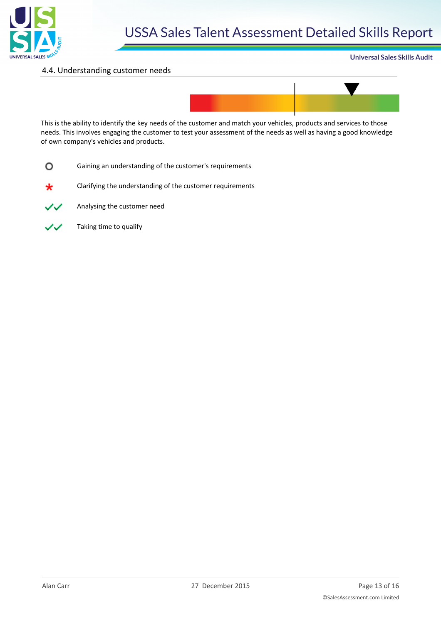

#### 4.4. Understanding customer needs





This is the ability to identify the key needs of the customer and match your vehicles, products and services to those needs. This involves engaging the customer to test your assessment of the needs as well as having a good knowledge of own company's vehicles and products.

 $\circ$ Gaining an understanding of the customer's requirements

Clarifying the understanding of the customer requirements ∗



Analysing the customer need

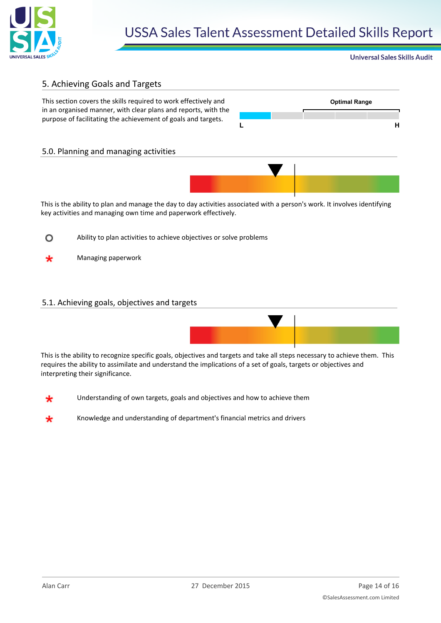

#### **Universal Sales Skills Audit**

#### 5. Achieving Goals and Targets

This section covers the skills required to work effectively and **Optimal Range** in an organised manner, with clear plans and reports, with the purpose of facilitating the achievement of goals and targets.



#### 5.0. Planning and managing activities



This is the ability to plan and manage the day to day activities associated with a person's work. It involves identifying key activities and managing own time and paperwork effectively.

- $\circ$ Ability to plan activities to achieve objectives or solve problems
- Managing paperwork ₩

#### 5.1. Achieving goals, objectives and targets



This is the ability to recognize specific goals, objectives and targets and take all steps necessary to achieve them. This requires the ability to assimilate and understand the implications of a set of goals, targets or objectives and interpreting their significance.

- Understanding of own targets, goals and objectives and how to achieve them
- Knowledge and understanding of department's financial metrics and drivers∗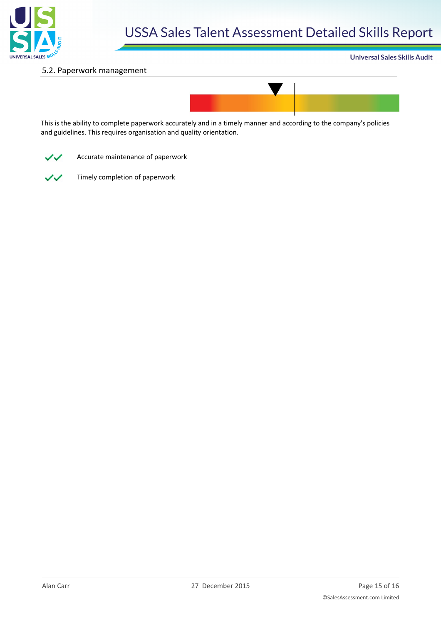

#### 5.2. Paperwork management





This is the ability to complete paperwork accurately and in a timely manner and according to the company's policies and guidelines. This requires organisation and quality orientation.



Accurate maintenance of paperwork



Timely completion of paperwork